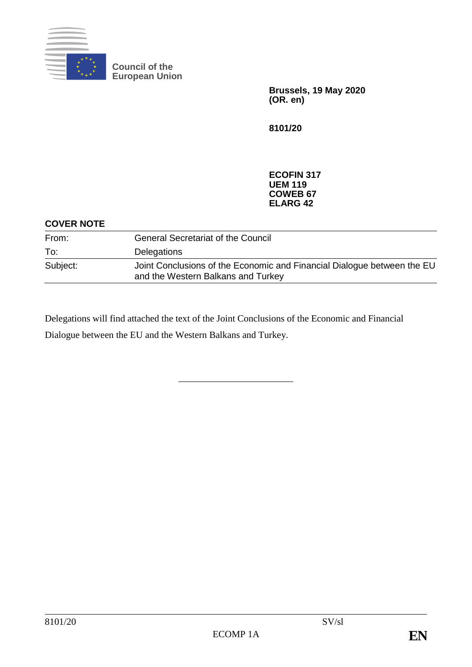

**Council of the European Union**

> **Brussels, 19 May 2020 (OR. en)**

**8101/20**

**ECOFIN 317 UEM 119 COWEB 67 ELARG 42**

#### **COVER NOTE**

| From:    | <b>General Secretariat of the Council</b>                                                                     |
|----------|---------------------------------------------------------------------------------------------------------------|
| To:      | Delegations                                                                                                   |
| Subject: | Joint Conclusions of the Economic and Financial Dialogue between the EU<br>and the Western Balkans and Turkey |

Delegations will find attached the text of the Joint Conclusions of the Economic and Financial Dialogue between the EU and the Western Balkans and Turkey.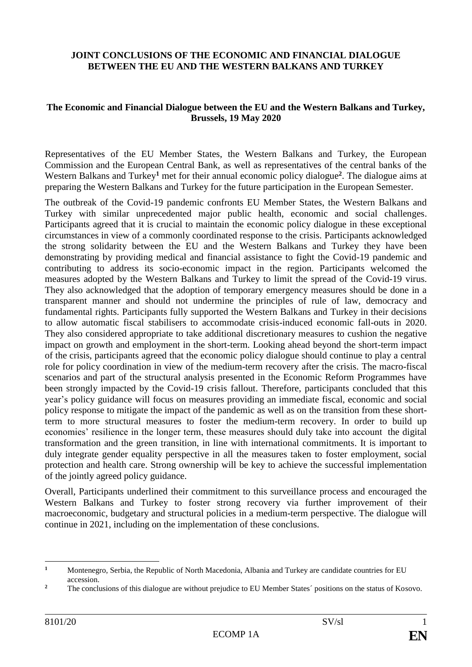#### **JOINT CONCLUSIONS OF THE ECONOMIC AND FINANCIAL DIALOGUE BETWEEN THE EU AND THE WESTERN BALKANS AND TURKEY**

#### **The Economic and Financial Dialogue between the EU and the Western Balkans and Turkey, Brussels, 19 May 2020**

Representatives of the EU Member States, the Western Balkans and Turkey, the European Commission and the European Central Bank, as well as representatives of the central banks of the Western Balkans and Turkey**<sup>1</sup>** met for their annual economic policy dialogue**<sup>2</sup>** . The dialogue aims at preparing the Western Balkans and Turkey for the future participation in the European Semester.

The outbreak of the Covid-19 pandemic confronts EU Member States, the Western Balkans and Turkey with similar unprecedented major public health, economic and social challenges. Participants agreed that it is crucial to maintain the economic policy dialogue in these exceptional circumstances in view of a commonly coordinated response to the crisis. Participants acknowledged the strong solidarity between the EU and the Western Balkans and Turkey they have been demonstrating by providing medical and financial assistance to fight the Covid-19 pandemic and contributing to address its socio-economic impact in the region. Participants welcomed the measures adopted by the Western Balkans and Turkey to limit the spread of the Covid-19 virus. They also acknowledged that the adoption of temporary emergency measures should be done in a transparent manner and should not undermine the principles of rule of law, democracy and fundamental rights. Participants fully supported the Western Balkans and Turkey in their decisions to allow automatic fiscal stabilisers to accommodate crisis-induced economic fall-outs in 2020. They also considered appropriate to take additional discretionary measures to cushion the negative impact on growth and employment in the short-term. Looking ahead beyond the short-term impact of the crisis, participants agreed that the economic policy dialogue should continue to play a central role for policy coordination in view of the medium-term recovery after the crisis. The macro-fiscal scenarios and part of the structural analysis presented in the Economic Reform Programmes have been strongly impacted by the Covid-19 crisis fallout. Therefore, participants concluded that this year's policy guidance will focus on measures providing an immediate fiscal, economic and social policy response to mitigate the impact of the pandemic as well as on the transition from these shortterm to more structural measures to foster the medium-term recovery. In order to build up economies' resilience in the longer term, these measures should duly take into account the digital transformation and the green transition, in line with international commitments. It is important to duly integrate gender equality perspective in all the measures taken to foster employment, social protection and health care. Strong ownership will be key to achieve the successful implementation of the jointly agreed policy guidance.

Overall, Participants underlined their commitment to this surveillance process and encouraged the Western Balkans and Turkey to foster strong recovery via further improvement of their macroeconomic, budgetary and structural policies in a medium-term perspective. The dialogue will continue in 2021, including on the implementation of these conclusions.

 $\mathbf{1}$ **<sup>1</sup>** Montenegro, Serbia, the Republic of North Macedonia, Albania and Turkey are candidate countries for EU accession.

<sup>&</sup>lt;sup>2</sup> The conclusions of this dialogue are without prejudice to EU Member States´ positions on the status of Kosovo.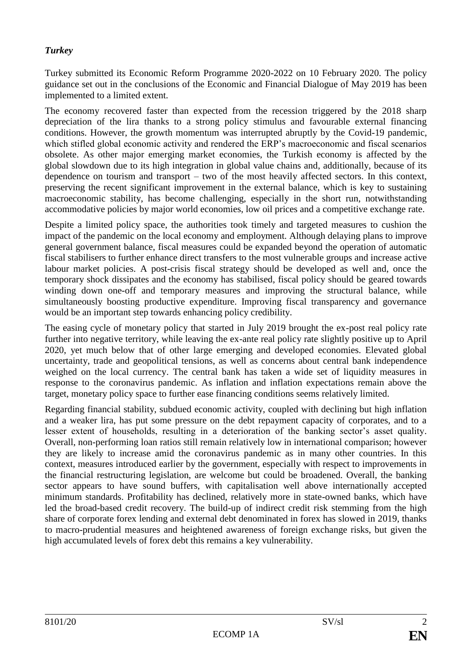# *Turkey*

Turkey submitted its Economic Reform Programme 2020-2022 on 10 February 2020. The policy guidance set out in the conclusions of the Economic and Financial Dialogue of May 2019 has been implemented to a limited extent.

The economy recovered faster than expected from the recession triggered by the 2018 sharp depreciation of the lira thanks to a strong policy stimulus and favourable external financing conditions. However, the growth momentum was interrupted abruptly by the Covid-19 pandemic, which stifled global economic activity and rendered the ERP's macroeconomic and fiscal scenarios obsolete. As other major emerging market economies, the Turkish economy is affected by the global slowdown due to its high integration in global value chains and, additionally, because of its dependence on tourism and transport – two of the most heavily affected sectors. In this context, preserving the recent significant improvement in the external balance, which is key to sustaining macroeconomic stability, has become challenging, especially in the short run, notwithstanding accommodative policies by major world economies, low oil prices and a competitive exchange rate.

Despite a limited policy space, the authorities took timely and targeted measures to cushion the impact of the pandemic on the local economy and employment. Although delaying plans to improve general government balance, fiscal measures could be expanded beyond the operation of automatic fiscal stabilisers to further enhance direct transfers to the most vulnerable groups and increase active labour market policies. A post-crisis fiscal strategy should be developed as well and, once the temporary shock dissipates and the economy has stabilised, fiscal policy should be geared towards winding down one-off and temporary measures and improving the structural balance, while simultaneously boosting productive expenditure. Improving fiscal transparency and governance would be an important step towards enhancing policy credibility.

The easing cycle of monetary policy that started in July 2019 brought the ex-post real policy rate further into negative territory, while leaving the ex-ante real policy rate slightly positive up to April 2020, yet much below that of other large emerging and developed economies. Elevated global uncertainty, trade and geopolitical tensions, as well as concerns about central bank independence weighed on the local currency. The central bank has taken a wide set of liquidity measures in response to the coronavirus pandemic. As inflation and inflation expectations remain above the target, monetary policy space to further ease financing conditions seems relatively limited.

Regarding financial stability, subdued economic activity, coupled with declining but high inflation and a weaker lira, has put some pressure on the debt repayment capacity of corporates, and to a lesser extent of households, resulting in a deterioration of the banking sector's asset quality. Overall, non-performing loan ratios still remain relatively low in international comparison; however they are likely to increase amid the coronavirus pandemic as in many other countries. In this context, measures introduced earlier by the government, especially with respect to improvements in the financial restructuring legislation, are welcome but could be broadened. Overall, the banking sector appears to have sound buffers, with capitalisation well above internationally accepted minimum standards. Profitability has declined, relatively more in state-owned banks, which have led the broad-based credit recovery. The build-up of indirect credit risk stemming from the high share of corporate forex lending and external debt denominated in forex has slowed in 2019, thanks to macro-prudential measures and heightened awareness of foreign exchange risks, but given the high accumulated levels of forex debt this remains a key vulnerability.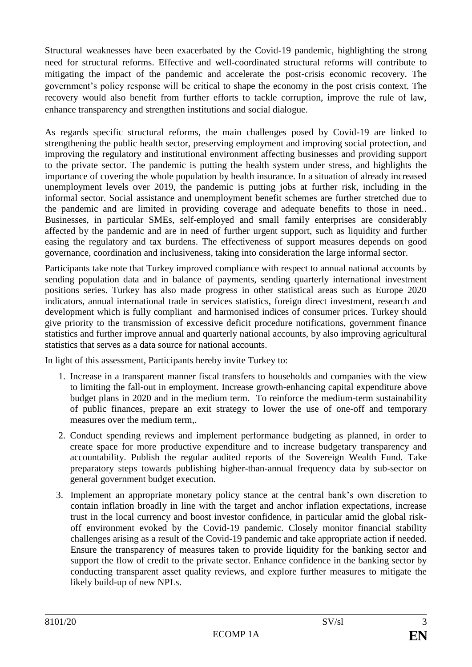Structural weaknesses have been exacerbated by the Covid-19 pandemic, highlighting the strong need for structural reforms. Effective and well-coordinated structural reforms will contribute to mitigating the impact of the pandemic and accelerate the post-crisis economic recovery. The government's policy response will be critical to shape the economy in the post crisis context. The recovery would also benefit from further efforts to tackle corruption, improve the rule of law, enhance transparency and strengthen institutions and social dialogue.

As regards specific structural reforms, the main challenges posed by Covid-19 are linked to strengthening the public health sector, preserving employment and improving social protection, and improving the regulatory and institutional environment affecting businesses and providing support to the private sector. The pandemic is putting the health system under stress, and highlights the importance of covering the whole population by health insurance. In a situation of already increased unemployment levels over 2019, the pandemic is putting jobs at further risk, including in the informal sector. Social assistance and unemployment benefit schemes are further stretched due to the pandemic and are limited in providing coverage and adequate benefits to those in need.. Businesses, in particular SMEs, self-employed and small family enterprises are considerably affected by the pandemic and are in need of further urgent support, such as liquidity and further easing the regulatory and tax burdens. The effectiveness of support measures depends on good governance, coordination and inclusiveness, taking into consideration the large informal sector.

Participants take note that Turkey improved compliance with respect to annual national accounts by sending population data and in balance of payments, sending quarterly international investment positions series. Turkey has also made progress in other statistical areas such as Europe 2020 indicators, annual international trade in services statistics, foreign direct investment, research and development which is fully compliant and harmonised indices of consumer prices. Turkey should give priority to the transmission of excessive deficit procedure notifications, government finance statistics and further improve annual and quarterly national accounts, by also improving agricultural statistics that serves as a data source for national accounts.

In light of this assessment, Participants hereby invite Turkey to:

- 1. Increase in a transparent manner fiscal transfers to households and companies with the view to limiting the fall-out in employment. Increase growth-enhancing capital expenditure above budget plans in 2020 and in the medium term. To reinforce the medium-term sustainability of public finances, prepare an exit strategy to lower the use of one-off and temporary measures over the medium term,.
- 2. Conduct spending reviews and implement performance budgeting as planned, in order to create space for more productive expenditure and to increase budgetary transparency and accountability. Publish the regular audited reports of the Sovereign Wealth Fund. Take preparatory steps towards publishing higher-than-annual frequency data by sub-sector on general government budget execution.
- 3. Implement an appropriate monetary policy stance at the central bank's own discretion to contain inflation broadly in line with the target and anchor inflation expectations, increase trust in the local currency and boost investor confidence, in particular amid the global riskoff environment evoked by the Covid-19 pandemic. Closely monitor financial stability challenges arising as a result of the Covid-19 pandemic and take appropriate action if needed. Ensure the transparency of measures taken to provide liquidity for the banking sector and support the flow of credit to the private sector. Enhance confidence in the banking sector by conducting transparent asset quality reviews, and explore further measures to mitigate the likely build-up of new NPLs.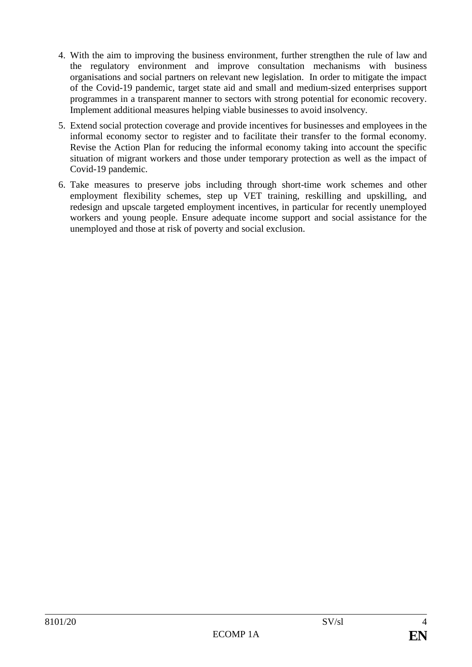- 4. With the aim to improving the business environment, further strengthen the rule of law and the regulatory environment and improve consultation mechanisms with business organisations and social partners on relevant new legislation. In order to mitigate the impact of the Covid-19 pandemic, target state aid and small and medium-sized enterprises support programmes in a transparent manner to sectors with strong potential for economic recovery. Implement additional measures helping viable businesses to avoid insolvency.
- 5. Extend social protection coverage and provide incentives for businesses and employees in the informal economy sector to register and to facilitate their transfer to the formal economy. Revise the Action Plan for reducing the informal economy taking into account the specific situation of migrant workers and those under temporary protection as well as the impact of Covid-19 pandemic.
- 6. Take measures to preserve jobs including through short-time work schemes and other employment flexibility schemes, step up VET training, reskilling and upskilling, and redesign and upscale targeted employment incentives, in particular for recently unemployed workers and young people. Ensure adequate income support and social assistance for the unemployed and those at risk of poverty and social exclusion.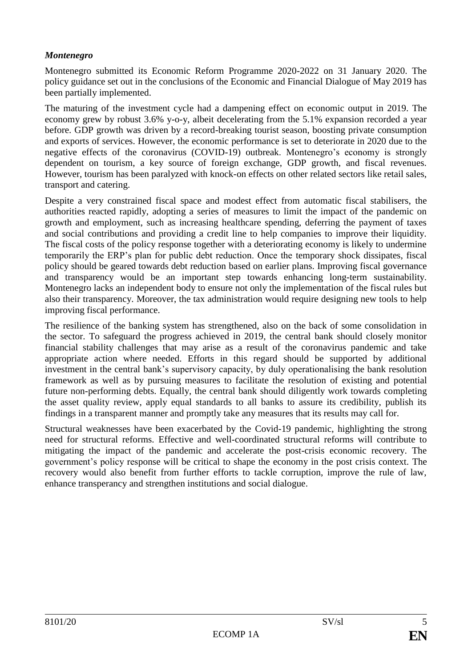## *Montenegro*

Montenegro submitted its Economic Reform Programme 2020-2022 on 31 January 2020. The policy guidance set out in the conclusions of the Economic and Financial Dialogue of May 2019 has been partially implemented.

The maturing of the investment cycle had a dampening effect on economic output in 2019. The economy grew by robust 3.6% y-o-y, albeit decelerating from the 5.1% expansion recorded a year before. GDP growth was driven by a record-breaking tourist season, boosting private consumption and exports of services. However, the economic performance is set to deteriorate in 2020 due to the negative effects of the coronavirus (COVID-19) outbreak. Montenegro's economy is strongly dependent on tourism, a key source of foreign exchange, GDP growth, and fiscal revenues. However, tourism has been paralyzed with knock-on effects on other related sectors like retail sales, transport and catering.

Despite a very constrained fiscal space and modest effect from automatic fiscal stabilisers, the authorities reacted rapidly, adopting a series of measures to limit the impact of the pandemic on growth and employment, such as increasing healthcare spending, deferring the payment of taxes and social contributions and providing a credit line to help companies to improve their liquidity. The fiscal costs of the policy response together with a deteriorating economy is likely to undermine temporarily the ERP's plan for public debt reduction. Once the temporary shock dissipates, fiscal policy should be geared towards debt reduction based on earlier plans. Improving fiscal governance and transparency would be an important step towards enhancing long-term sustainability. Montenegro lacks an independent body to ensure not only the implementation of the fiscal rules but also their transparency. Moreover, the tax administration would require designing new tools to help improving fiscal performance.

The resilience of the banking system has strengthened, also on the back of some consolidation in the sector. To safeguard the progress achieved in 2019, the central bank should closely monitor financial stability challenges that may arise as a result of the coronavirus pandemic and take appropriate action where needed. Efforts in this regard should be supported by additional investment in the central bank's supervisory capacity, by duly operationalising the bank resolution framework as well as by pursuing measures to facilitate the resolution of existing and potential future non-performing debts. Equally, the central bank should diligently work towards completing the asset quality review, apply equal standards to all banks to assure its credibility, publish its findings in a transparent manner and promptly take any measures that its results may call for.

Structural weaknesses have been exacerbated by the Covid-19 pandemic, highlighting the strong need for structural reforms. Effective and well-coordinated structural reforms will contribute to mitigating the impact of the pandemic and accelerate the post-crisis economic recovery. The government's policy response will be critical to shape the economy in the post crisis context. The recovery would also benefit from further efforts to tackle corruption, improve the rule of law, enhance transperancy and strengthen institutions and social dialogue.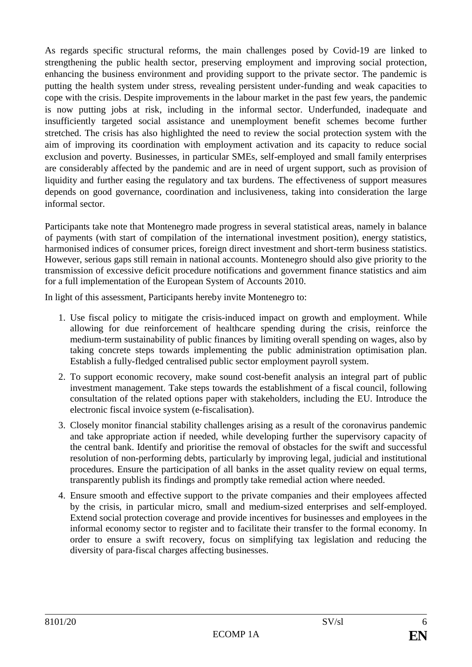As regards specific structural reforms, the main challenges posed by Covid-19 are linked to strengthening the public health sector, preserving employment and improving social protection, enhancing the business environment and providing support to the private sector. The pandemic is putting the health system under stress, revealing persistent under-funding and weak capacities to cope with the crisis. Despite improvements in the labour market in the past few years, the pandemic is now putting jobs at risk, including in the informal sector. Underfunded, inadequate and insufficiently targeted social assistance and unemployment benefit schemes become further stretched. The crisis has also highlighted the need to review the social protection system with the aim of improving its coordination with employment activation and its capacity to reduce social exclusion and poverty. Businesses, in particular SMEs, self-employed and small family enterprises are considerably affected by the pandemic and are in need of urgent support, such as provision of liquidity and further easing the regulatory and tax burdens. The effectiveness of support measures depends on good governance, coordination and inclusiveness, taking into consideration the large informal sector.

Participants take note that Montenegro made progress in several statistical areas, namely in balance of payments (with start of compilation of the international investment position), energy statistics, harmonised indices of consumer prices, foreign direct investment and short-term business statistics. However, serious gaps still remain in national accounts. Montenegro should also give priority to the transmission of excessive deficit procedure notifications and government finance statistics and aim for a full implementation of the European System of Accounts 2010.

In light of this assessment, Participants hereby invite Montenegro to:

- 1. Use fiscal policy to mitigate the crisis-induced impact on growth and employment. While allowing for due reinforcement of healthcare spending during the crisis, reinforce the medium-term sustainability of public finances by limiting overall spending on wages, also by taking concrete steps towards implementing the public administration optimisation plan. Establish a fully-fledged centralised public sector employment payroll system.
- 2. To support economic recovery, make sound cost-benefit analysis an integral part of public investment management. Take steps towards the establishment of a fiscal council, following consultation of the related options paper with stakeholders, including the EU. Introduce the electronic fiscal invoice system (e-fiscalisation).
- 3. Closely monitor financial stability challenges arising as a result of the coronavirus pandemic and take appropriate action if needed, while developing further the supervisory capacity of the central bank. Identify and prioritise the removal of obstacles for the swift and successful resolution of non-performing debts, particularly by improving legal, judicial and institutional procedures. Ensure the participation of all banks in the asset quality review on equal terms, transparently publish its findings and promptly take remedial action where needed.
- 4. Ensure smooth and effective support to the private companies and their employees affected by the crisis, in particular micro, small and medium-sized enterprises and self-employed. Extend social protection coverage and provide incentives for businesses and employees in the informal economy sector to register and to facilitate their transfer to the formal economy. In order to ensure a swift recovery, focus on simplifying tax legislation and reducing the diversity of para-fiscal charges affecting businesses.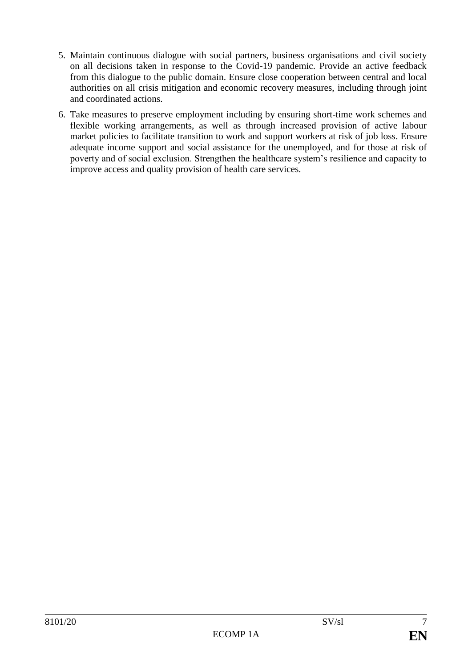- 5. Maintain continuous dialogue with social partners, business organisations and civil society on all decisions taken in response to the Covid-19 pandemic. Provide an active feedback from this dialogue to the public domain. Ensure close cooperation between central and local authorities on all crisis mitigation and economic recovery measures, including through joint and coordinated actions.
- 6. Take measures to preserve employment including by ensuring short-time work schemes and flexible working arrangements, as well as through increased provision of active labour market policies to facilitate transition to work and support workers at risk of job loss. Ensure adequate income support and social assistance for the unemployed, and for those at risk of poverty and of social exclusion. Strengthen the healthcare system's resilience and capacity to improve access and quality provision of health care services.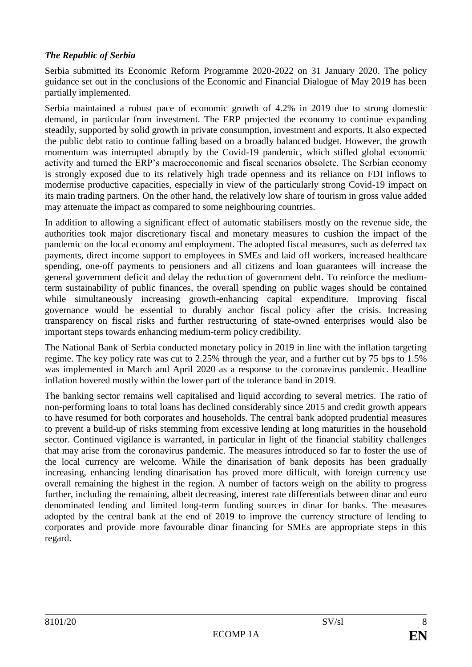## *The Republic of Serbia*

Serbia submitted its Economic Reform Programme 2020-2022 on 31 January 2020. The policy guidance set out in the conclusions of the Economic and Financial Dialogue of May 2019 has been partially implemented.

Serbia maintained a robust pace of economic growth of 4.2% in 2019 due to strong domestic demand, in particular from investment. The ERP projected the economy to continue expanding steadily, supported by solid growth in private consumption, investment and exports. It also expected the public debt ratio to continue falling based on a broadly balanced budget. However, the growth momentum was interrupted abruptly by the Covid-19 pandemic, which stifled global economic activity and turned the ERP's macroeconomic and fiscal scenarios obsolete. The Serbian economy is strongly exposed due to its relatively high trade openness and its reliance on FDI inflows to modernise productive capacities, especially in view of the particularly strong Covid-19 impact on its main trading partners. On the other hand, the relatively low share of tourism in gross value added may attenuate the impact as compared to some neighbouring countries.

In addition to allowing a significant effect of automatic stabilisers mostly on the revenue side, the authorities took major discretionary fiscal and monetary measures to cushion the impact of the pandemic on the local economy and employment. The adopted fiscal measures, such as deferred tax payments, direct income support to employees in SMEs and laid off workers, increased healthcare spending, one-off payments to pensioners and all citizens and loan guarantees will increase the general government deficit and delay the reduction of government debt. To reinforce the mediumterm sustainability of public finances, the overall spending on public wages should be contained while simultaneously increasing growth-enhancing capital expenditure. Improving fiscal governance would be essential to durably anchor fiscal policy after the crisis. Increasing transparency on fiscal risks and further restructuring of state-owned enterprises would also be important steps towards enhancing medium-term policy credibility.

The National Bank of Serbia conducted monetary policy in 2019 in line with the inflation targeting regime. The key policy rate was cut to 2.25% through the year, and a further cut by 75 bps to 1.5% was implemented in March and April 2020 as a response to the coronavirus pandemic. Headline inflation hovered mostly within the lower part of the tolerance band in 2019.

The banking sector remains well capitalised and liquid according to several metrics. The ratio of non-performing loans to total loans has declined considerably since 2015 and credit growth appears to have resumed for both corporates and households. The central bank adopted prudential measures to prevent a build-up of risks stemming from excessive lending at long maturities in the household sector. Continued vigilance is warranted, in particular in light of the financial stability challenges that may arise from the coronavirus pandemic. The measures introduced so far to foster the use of the local currency are welcome. While the dinarisation of bank deposits has been gradually increasing, enhancing lending dinarisation has proved more difficult, with foreign currency use overall remaining the highest in the region. A number of factors weigh on the ability to progress further, including the remaining, albeit decreasing, interest rate differentials between dinar and euro denominated lending and limited long-term funding sources in dinar for banks. The measures adopted by the central bank at the end of 2019 to improve the currency structure of lending to corporates and provide more favourable dinar financing for SMEs are appropriate steps in this regard.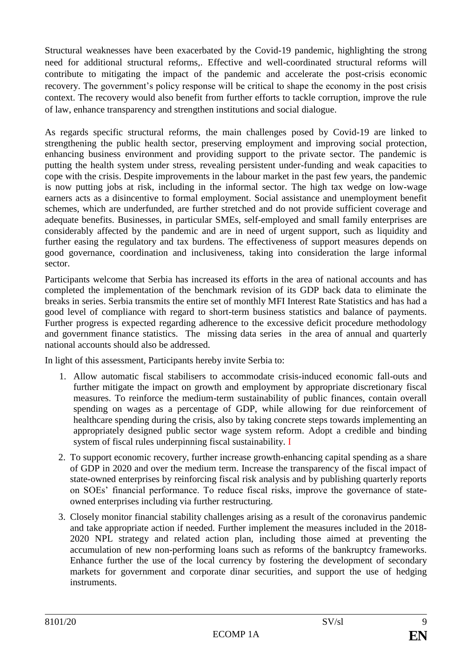Structural weaknesses have been exacerbated by the Covid-19 pandemic, highlighting the strong need for additional structural reforms,. Effective and well-coordinated structural reforms will contribute to mitigating the impact of the pandemic and accelerate the post-crisis economic recovery. The government's policy response will be critical to shape the economy in the post crisis context. The recovery would also benefit from further efforts to tackle corruption, improve the rule of law, enhance transparency and strengthen institutions and social dialogue.

As regards specific structural reforms, the main challenges posed by Covid-19 are linked to strengthening the public health sector, preserving employment and improving social protection, enhancing business environment and providing support to the private sector. The pandemic is putting the health system under stress, revealing persistent under-funding and weak capacities to cope with the crisis. Despite improvements in the labour market in the past few years, the pandemic is now putting jobs at risk, including in the informal sector. The high tax wedge on low-wage earners acts as a disincentive to formal employment. Social assistance and unemployment benefit schemes, which are underfunded, are further stretched and do not provide sufficient coverage and adequate benefits. Businesses, in particular SMEs, self-employed and small family enterprises are considerably affected by the pandemic and are in need of urgent support, such as liquidity and further easing the regulatory and tax burdens. The effectiveness of support measures depends on good governance, coordination and inclusiveness, taking into consideration the large informal sector.

Participants welcome that Serbia has increased its efforts in the area of national accounts and has completed the implementation of the benchmark revision of its GDP back data to eliminate the breaks in series. Serbia transmits the entire set of monthly MFI Interest Rate Statistics and has had a good level of compliance with regard to short-term business statistics and balance of payments. Further progress is expected regarding adherence to the excessive deficit procedure methodology and government finance statistics. The missing data series in the area of annual and quarterly national accounts should also be addressed.

In light of this assessment, Participants hereby invite Serbia to:

- 1. Allow automatic fiscal stabilisers to accommodate crisis-induced economic fall-outs and further mitigate the impact on growth and employment by appropriate discretionary fiscal measures. To reinforce the medium-term sustainability of public finances, contain overall spending on wages as a percentage of GDP, while allowing for due reinforcement of healthcare spending during the crisis, also by taking concrete steps towards implementing an appropriately designed public sector wage system reform. Adopt a credible and binding system of fiscal rules underpinning fiscal sustainability. I
- 2. To support economic recovery, further increase growth-enhancing capital spending as a share of GDP in 2020 and over the medium term. Increase the transparency of the fiscal impact of state-owned enterprises by reinforcing fiscal risk analysis and by publishing quarterly reports on SOEs' financial performance. To reduce fiscal risks, improve the governance of stateowned enterprises including via further restructuring.
- 3. Closely monitor financial stability challenges arising as a result of the coronavirus pandemic and take appropriate action if needed. Further implement the measures included in the 2018- 2020 NPL strategy and related action plan, including those aimed at preventing the accumulation of new non-performing loans such as reforms of the bankruptcy frameworks. Enhance further the use of the local currency by fostering the development of secondary markets for government and corporate dinar securities, and support the use of hedging instruments.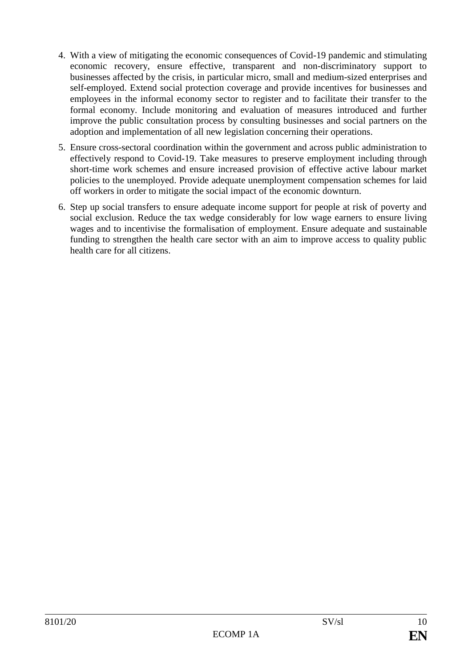- 4. With a view of mitigating the economic consequences of Covid-19 pandemic and stimulating economic recovery, ensure effective, transparent and non-discriminatory support to businesses affected by the crisis, in particular micro, small and medium-sized enterprises and self-employed. Extend social protection coverage and provide incentives for businesses and employees in the informal economy sector to register and to facilitate their transfer to the formal economy. Include monitoring and evaluation of measures introduced and further improve the public consultation process by consulting businesses and social partners on the adoption and implementation of all new legislation concerning their operations.
- 5. Ensure cross-sectoral coordination within the government and across public administration to effectively respond to Covid-19. Take measures to preserve employment including through short-time work schemes and ensure increased provision of effective active labour market policies to the unemployed. Provide adequate unemployment compensation schemes for laid off workers in order to mitigate the social impact of the economic downturn.
- 6. Step up social transfers to ensure adequate income support for people at risk of poverty and social exclusion. Reduce the tax wedge considerably for low wage earners to ensure living wages and to incentivise the formalisation of employment. Ensure adequate and sustainable funding to strengthen the health care sector with an aim to improve access to quality public health care for all citizens.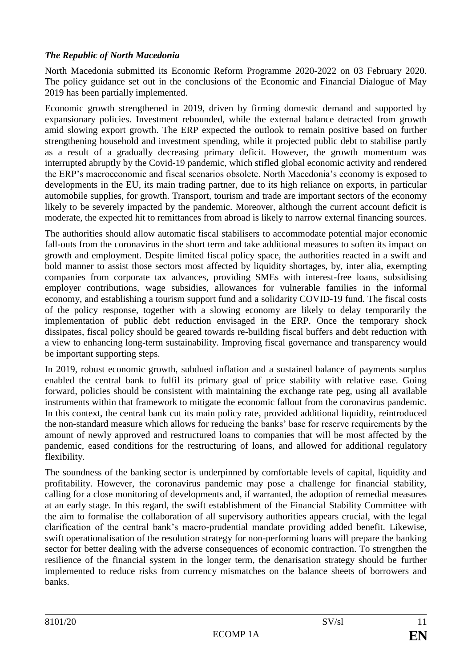## *The Republic of North Macedonia*

North Macedonia submitted its Economic Reform Programme 2020-2022 on 03 February 2020. The policy guidance set out in the conclusions of the Economic and Financial Dialogue of May 2019 has been partially implemented.

Economic growth strengthened in 2019, driven by firming domestic demand and supported by expansionary policies. Investment rebounded, while the external balance detracted from growth amid slowing export growth. The ERP expected the outlook to remain positive based on further strengthening household and investment spending, while it projected public debt to stabilise partly as a result of a gradually decreasing primary deficit. However, the growth momentum was interrupted abruptly by the Covid-19 pandemic, which stifled global economic activity and rendered the ERP's macroeconomic and fiscal scenarios obsolete. North Macedonia's economy is exposed to developments in the EU, its main trading partner, due to its high reliance on exports, in particular automobile supplies, for growth. Transport, tourism and trade are important sectors of the economy likely to be severely impacted by the pandemic. Moreover, although the current account deficit is moderate, the expected hit to remittances from abroad is likely to narrow external financing sources.

The authorities should allow automatic fiscal stabilisers to accommodate potential major economic fall-outs from the coronavirus in the short term and take additional measures to soften its impact on growth and employment. Despite limited fiscal policy space, the authorities reacted in a swift and bold manner to assist those sectors most affected by liquidity shortages, by, inter alia, exempting companies from corporate tax advances, providing SMEs with interest-free loans, subsidising employer contributions, wage subsidies, allowances for vulnerable families in the informal economy, and establishing a tourism support fund and a solidarity COVID-19 fund. The fiscal costs of the policy response, together with a slowing economy are likely to delay temporarily the implementation of public debt reduction envisaged in the ERP. Once the temporary shock dissipates, fiscal policy should be geared towards re-building fiscal buffers and debt reduction with a view to enhancing long-term sustainability. Improving fiscal governance and transparency would be important supporting steps.

In 2019, robust economic growth, subdued inflation and a sustained balance of payments surplus enabled the central bank to fulfil its primary goal of price stability with relative ease. Going forward, policies should be consistent with maintaining the exchange rate peg, using all available instruments within that framework to mitigate the economic fallout from the coronavirus pandemic. In this context, the central bank cut its main policy rate, provided additional liquidity, reintroduced the non-standard measure which allows for reducing the banks' base for reserve requirements by the amount of newly approved and restructured loans to companies that will be most affected by the pandemic, eased conditions for the restructuring of loans, and allowed for additional regulatory flexibility.

The soundness of the banking sector is underpinned by comfortable levels of capital, liquidity and profitability. However, the coronavirus pandemic may pose a challenge for financial stability, calling for a close monitoring of developments and, if warranted, the adoption of remedial measures at an early stage. In this regard, the swift establishment of the Financial Stability Committee with the aim to formalise the collaboration of all supervisory authorities appears crucial, with the legal clarification of the central bank's macro-prudential mandate providing added benefit. Likewise, swift operationalisation of the resolution strategy for non-performing loans will prepare the banking sector for better dealing with the adverse consequences of economic contraction. To strengthen the resilience of the financial system in the longer term, the denarisation strategy should be further implemented to reduce risks from currency mismatches on the balance sheets of borrowers and banks.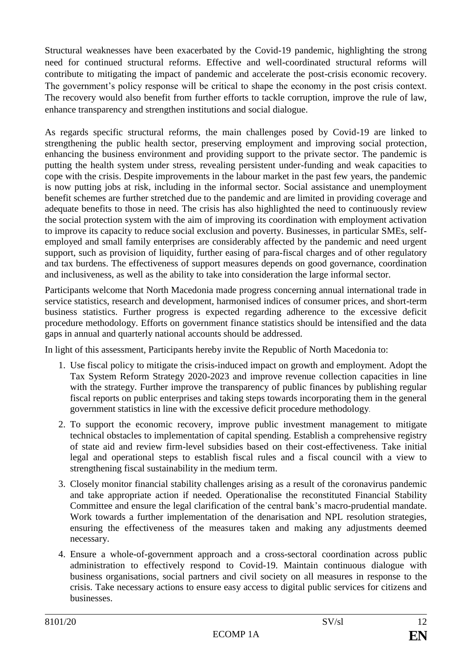Structural weaknesses have been exacerbated by the Covid-19 pandemic, highlighting the strong need for continued structural reforms. Effective and well-coordinated structural reforms will contribute to mitigating the impact of pandemic and accelerate the post-crisis economic recovery. The government's policy response will be critical to shape the economy in the post crisis context. The recovery would also benefit from further efforts to tackle corruption, improve the rule of law, enhance transparency and strengthen institutions and social dialogue.

As regards specific structural reforms, the main challenges posed by Covid-19 are linked to strengthening the public health sector, preserving employment and improving social protection, enhancing the business environment and providing support to the private sector. The pandemic is putting the health system under stress, revealing persistent under-funding and weak capacities to cope with the crisis. Despite improvements in the labour market in the past few years, the pandemic is now putting jobs at risk, including in the informal sector. Social assistance and unemployment benefit schemes are further stretched due to the pandemic and are limited in providing coverage and adequate benefits to those in need. The crisis has also highlighted the need to continuously review the social protection system with the aim of improving its coordination with employment activation to improve its capacity to reduce social exclusion and poverty. Businesses, in particular SMEs, selfemployed and small family enterprises are considerably affected by the pandemic and need urgent support, such as provision of liquidity, further easing of para-fiscal charges and of other regulatory and tax burdens. The effectiveness of support measures depends on good governance, coordination and inclusiveness, as well as the ability to take into consideration the large informal sector.

Participants welcome that North Macedonia made progress concerning annual international trade in service statistics, research and development, harmonised indices of consumer prices, and short-term business statistics. Further progress is expected regarding adherence to the excessive deficit procedure methodology. Efforts on government finance statistics should be intensified and the data gaps in annual and quarterly national accounts should be addressed.

In light of this assessment, Participants hereby invite the Republic of North Macedonia to:

- 1. Use fiscal policy to mitigate the crisis-induced impact on growth and employment. Adopt the Tax System Reform Strategy 2020-2023 and improve revenue collection capacities in line with the strategy. Further improve the transparency of public finances by publishing regular fiscal reports on public enterprises and taking steps towards incorporating them in the general government statistics in line with the excessive deficit procedure methodology.
- 2. To support the economic recovery, improve public investment management to mitigate technical obstacles to implementation of capital spending. Establish a comprehensive registry of state aid and review firm-level subsidies based on their cost-effectiveness. Take initial legal and operational steps to establish fiscal rules and a fiscal council with a view to strengthening fiscal sustainability in the medium term.
- 3. Closely monitor financial stability challenges arising as a result of the coronavirus pandemic and take appropriate action if needed. Operationalise the reconstituted Financial Stability Committee and ensure the legal clarification of the central bank's macro-prudential mandate. Work towards a further implementation of the denarisation and NPL resolution strategies, ensuring the effectiveness of the measures taken and making any adjustments deemed necessary.
- 4. Ensure a whole-of-government approach and a cross-sectoral coordination across public administration to effectively respond to Covid-19. Maintain continuous dialogue with business organisations, social partners and civil society on all measures in response to the crisis. Take necessary actions to ensure easy access to digital public services for citizens and businesses.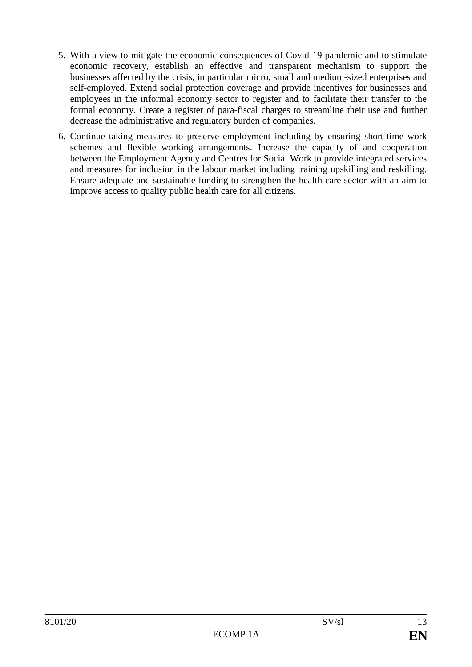- 5. With a view to mitigate the economic consequences of Covid-19 pandemic and to stimulate economic recovery, establish an effective and transparent mechanism to support the businesses affected by the crisis, in particular micro, small and medium-sized enterprises and self-employed. Extend social protection coverage and provide incentives for businesses and employees in the informal economy sector to register and to facilitate their transfer to the formal economy. Create a register of para-fiscal charges to streamline their use and further decrease the administrative and regulatory burden of companies.
- 6. Continue taking measures to preserve employment including by ensuring short-time work schemes and flexible working arrangements. Increase the capacity of and cooperation between the Employment Agency and Centres for Social Work to provide integrated services and measures for inclusion in the labour market including training upskilling and reskilling. Ensure adequate and sustainable funding to strengthen the health care sector with an aim to improve access to quality public health care for all citizens.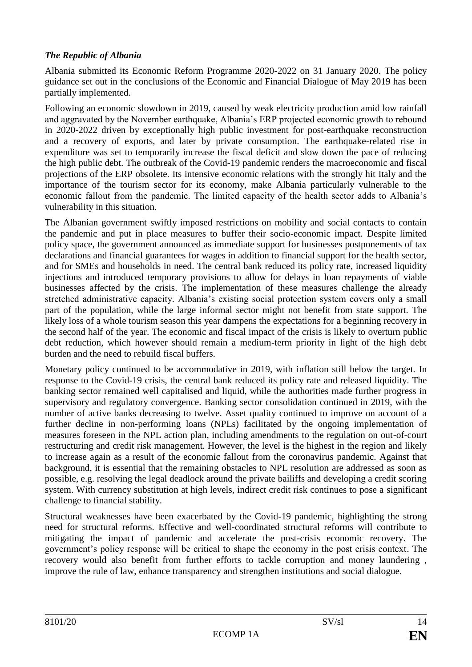# *The Republic of Albania*

Albania submitted its Economic Reform Programme 2020-2022 on 31 January 2020. The policy guidance set out in the conclusions of the Economic and Financial Dialogue of May 2019 has been partially implemented.

Following an economic slowdown in 2019, caused by weak electricity production amid low rainfall and aggravated by the November earthquake, Albania's ERP projected economic growth to rebound in 2020-2022 driven by exceptionally high public investment for post-earthquake reconstruction and a recovery of exports, and later by private consumption. The earthquake-related rise in expenditure was set to temporarily increase the fiscal deficit and slow down the pace of reducing the high public debt. The outbreak of the Covid-19 pandemic renders the macroeconomic and fiscal projections of the ERP obsolete. Its intensive economic relations with the strongly hit Italy and the importance of the tourism sector for its economy, make Albania particularly vulnerable to the economic fallout from the pandemic. The limited capacity of the health sector adds to Albania's vulnerability in this situation.

The Albanian government swiftly imposed restrictions on mobility and social contacts to contain the pandemic and put in place measures to buffer their socio-economic impact. Despite limited policy space, the government announced as immediate support for businesses postponements of tax declarations and financial guarantees for wages in addition to financial support for the health sector, and for SMEs and households in need. The central bank reduced its policy rate, increased liquidity injections and introduced temporary provisions to allow for delays in loan repayments of viable businesses affected by the crisis. The implementation of these measures challenge the already stretched administrative capacity. Albania's existing social protection system covers only a small part of the population, while the large informal sector might not benefit from state support. The likely loss of a whole tourism season this year dampens the expectations for a beginning recovery in the second half of the year. The economic and fiscal impact of the crisis is likely to overturn public debt reduction, which however should remain a medium-term priority in light of the high debt burden and the need to rebuild fiscal buffers.

Monetary policy continued to be accommodative in 2019, with inflation still below the target. In response to the Covid-19 crisis, the central bank reduced its policy rate and released liquidity. The banking sector remained well capitalised and liquid, while the authorities made further progress in supervisory and regulatory convergence. Banking sector consolidation continued in 2019, with the number of active banks decreasing to twelve. Asset quality continued to improve on account of a further decline in non-performing loans (NPLs) facilitated by the ongoing implementation of measures foreseen in the NPL action plan, including amendments to the regulation on out-of-court restructuring and credit risk management. However, the level is the highest in the region and likely to increase again as a result of the economic fallout from the coronavirus pandemic. Against that background, it is essential that the remaining obstacles to NPL resolution are addressed as soon as possible, e.g. resolving the legal deadlock around the private bailiffs and developing a credit scoring system. With currency substitution at high levels, indirect credit risk continues to pose a significant challenge to financial stability.

Structural weaknesses have been exacerbated by the Covid-19 pandemic, highlighting the strong need for structural reforms. Effective and well-coordinated structural reforms will contribute to mitigating the impact of pandemic and accelerate the post-crisis economic recovery. The government's policy response will be critical to shape the economy in the post crisis context. The recovery would also benefit from further efforts to tackle corruption and money laundering , improve the rule of law, enhance transparency and strengthen institutions and social dialogue.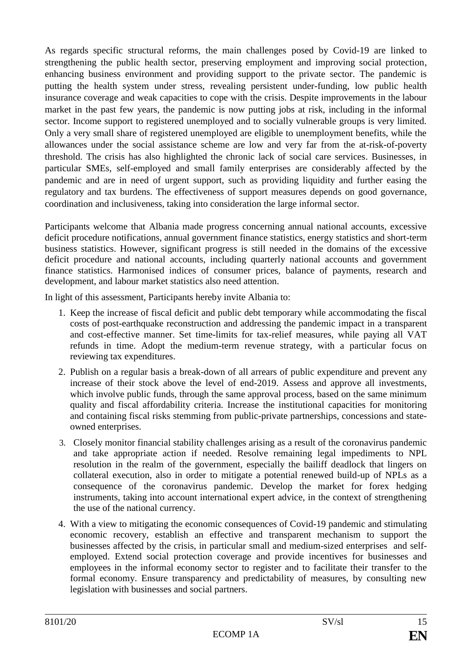As regards specific structural reforms, the main challenges posed by Covid-19 are linked to strengthening the public health sector, preserving employment and improving social protection, enhancing business environment and providing support to the private sector. The pandemic is putting the health system under stress, revealing persistent under-funding, low public health insurance coverage and weak capacities to cope with the crisis. Despite improvements in the labour market in the past few years, the pandemic is now putting jobs at risk, including in the informal sector. Income support to registered unemployed and to socially vulnerable groups is very limited. Only a very small share of registered unemployed are eligible to unemployment benefits, while the allowances under the social assistance scheme are low and very far from the at-risk-of-poverty threshold. The crisis has also highlighted the chronic lack of social care services. Businesses, in particular SMEs, self-employed and small family enterprises are considerably affected by the pandemic and are in need of urgent support, such as providing liquidity and further easing the regulatory and tax burdens. The effectiveness of support measures depends on good governance, coordination and inclusiveness, taking into consideration the large informal sector.

Participants welcome that Albania made progress concerning annual national accounts, excessive deficit procedure notifications, annual government finance statistics, energy statistics and short-term business statistics. However, significant progress is still needed in the domains of the excessive deficit procedure and national accounts, including quarterly national accounts and government finance statistics. Harmonised indices of consumer prices, balance of payments, research and development, and labour market statistics also need attention.

In light of this assessment, Participants hereby invite Albania to:

- 1. Keep the increase of fiscal deficit and public debt temporary while accommodating the fiscal costs of post-earthquake reconstruction and addressing the pandemic impact in a transparent and cost-effective manner. Set time-limits for tax-relief measures, while paying all VAT refunds in time. Adopt the medium-term revenue strategy, with a particular focus on reviewing tax expenditures.
- 2. Publish on a regular basis a break-down of all arrears of public expenditure and prevent any increase of their stock above the level of end-2019. Assess and approve all investments, which involve public funds, through the same approval process, based on the same minimum quality and fiscal affordability criteria. Increase the institutional capacities for monitoring and containing fiscal risks stemming from public-private partnerships, concessions and stateowned enterprises.
- 3. Closely monitor financial stability challenges arising as a result of the coronavirus pandemic and take appropriate action if needed. Resolve remaining legal impediments to NPL resolution in the realm of the government, especially the bailiff deadlock that lingers on collateral execution, also in order to mitigate a potential renewed build-up of NPLs as a consequence of the coronavirus pandemic. Develop the market for forex hedging instruments, taking into account international expert advice, in the context of strengthening the use of the national currency.
- 4. With a view to mitigating the economic consequences of Covid-19 pandemic and stimulating economic recovery, establish an effective and transparent mechanism to support the businesses affected by the crisis, in particular small and medium-sized enterprises and selfemployed. Extend social protection coverage and provide incentives for businesses and employees in the informal economy sector to register and to facilitate their transfer to the formal economy. Ensure transparency and predictability of measures, by consulting new legislation with businesses and social partners.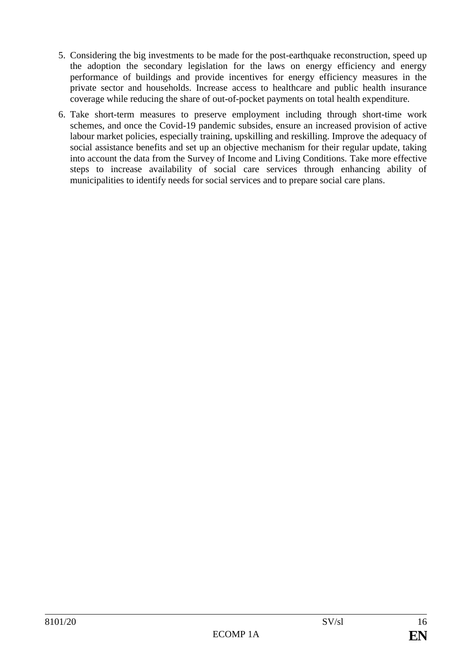- 5. Considering the big investments to be made for the post-earthquake reconstruction, speed up the adoption the secondary legislation for the laws on energy efficiency and energy performance of buildings and provide incentives for energy efficiency measures in the private sector and households. Increase access to healthcare and public health insurance coverage while reducing the share of out-of-pocket payments on total health expenditure.
- 6. Take short-term measures to preserve employment including through short-time work schemes, and once the Covid-19 pandemic subsides, ensure an increased provision of active labour market policies, especially training, upskilling and reskilling. Improve the adequacy of social assistance benefits and set up an objective mechanism for their regular update, taking into account the data from the Survey of Income and Living Conditions. Take more effective steps to increase availability of social care services through enhancing ability of municipalities to identify needs for social services and to prepare social care plans.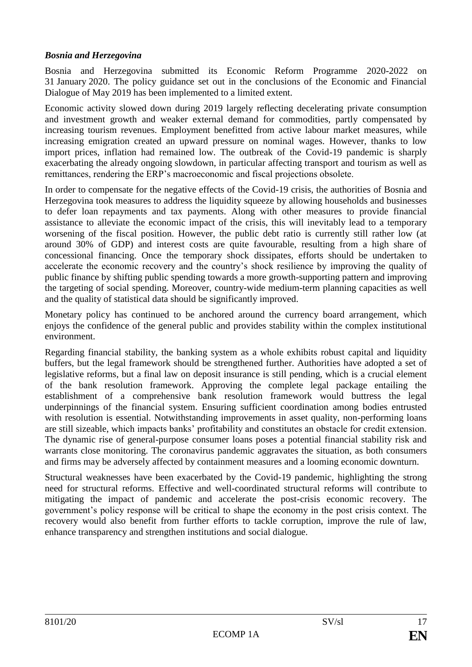#### *Bosnia and Herzegovina*

Bosnia and Herzegovina submitted its Economic Reform Programme 2020-2022 on 31 January 2020. The policy guidance set out in the conclusions of the Economic and Financial Dialogue of May 2019 has been implemented to a limited extent.

Economic activity slowed down during 2019 largely reflecting decelerating private consumption and investment growth and weaker external demand for commodities, partly compensated by increasing tourism revenues. Employment benefitted from active labour market measures, while increasing emigration created an upward pressure on nominal wages. However, thanks to low import prices, inflation had remained low. The outbreak of the Covid-19 pandemic is sharply exacerbating the already ongoing slowdown, in particular affecting transport and tourism as well as remittances, rendering the ERP's macroeconomic and fiscal projections obsolete.

In order to compensate for the negative effects of the Covid-19 crisis, the authorities of Bosnia and Herzegovina took measures to address the liquidity squeeze by allowing households and businesses to defer loan repayments and tax payments. Along with other measures to provide financial assistance to alleviate the economic impact of the crisis, this will inevitably lead to a temporary worsening of the fiscal position. However, the public debt ratio is currently still rather low (at around 30% of GDP) and interest costs are quite favourable, resulting from a high share of concessional financing. Once the temporary shock dissipates, efforts should be undertaken to accelerate the economic recovery and the country's shock resilience by improving the quality of public finance by shifting public spending towards a more growth-supporting pattern and improving the targeting of social spending. Moreover, country-wide medium-term planning capacities as well and the quality of statistical data should be significantly improved.

Monetary policy has continued to be anchored around the currency board arrangement, which enjoys the confidence of the general public and provides stability within the complex institutional environment.

Regarding financial stability, the banking system as a whole exhibits robust capital and liquidity buffers, but the legal framework should be strengthened further. Authorities have adopted a set of legislative reforms, but a final law on deposit insurance is still pending, which is a crucial element of the bank resolution framework. Approving the complete legal package entailing the establishment of a comprehensive bank resolution framework would buttress the legal underpinnings of the financial system. Ensuring sufficient coordination among bodies entrusted with resolution is essential. Notwithstanding improvements in asset quality, non-performing loans are still sizeable, which impacts banks' profitability and constitutes an obstacle for credit extension. The dynamic rise of general-purpose consumer loans poses a potential financial stability risk and warrants close monitoring. The coronavirus pandemic aggravates the situation, as both consumers and firms may be adversely affected by containment measures and a looming economic downturn.

Structural weaknesses have been exacerbated by the Covid-19 pandemic, highlighting the strong need for structural reforms. Effective and well-coordinated structural reforms will contribute to mitigating the impact of pandemic and accelerate the post-crisis economic recovery. The government's policy response will be critical to shape the economy in the post crisis context. The recovery would also benefit from further efforts to tackle corruption, improve the rule of law, enhance transparency and strengthen institutions and social dialogue.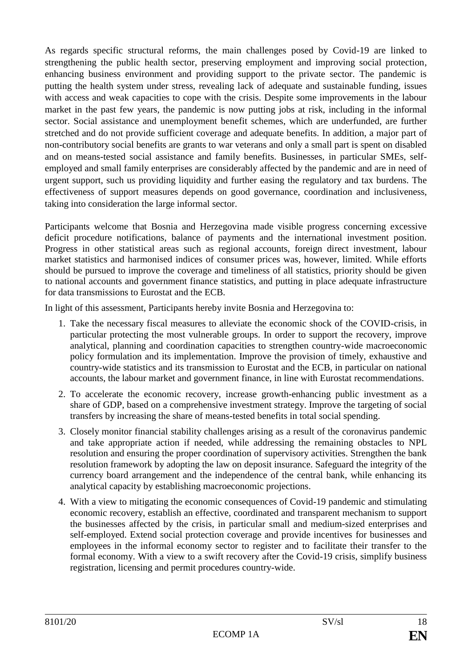As regards specific structural reforms, the main challenges posed by Covid-19 are linked to strengthening the public health sector, preserving employment and improving social protection, enhancing business environment and providing support to the private sector. The pandemic is putting the health system under stress, revealing lack of adequate and sustainable funding, issues with access and weak capacities to cope with the crisis. Despite some improvements in the labour market in the past few years, the pandemic is now putting jobs at risk, including in the informal sector. Social assistance and unemployment benefit schemes, which are underfunded, are further stretched and do not provide sufficient coverage and adequate benefits. In addition, a major part of non-contributory social benefits are grants to war veterans and only a small part is spent on disabled and on means-tested social assistance and family benefits. Businesses, in particular SMEs, selfemployed and small family enterprises are considerably affected by the pandemic and are in need of urgent support, such us providing liquidity and further easing the regulatory and tax burdens. The effectiveness of support measures depends on good governance, coordination and inclusiveness, taking into consideration the large informal sector.

Participants welcome that Bosnia and Herzegovina made visible progress concerning excessive deficit procedure notifications, balance of payments and the international investment position. Progress in other statistical areas such as regional accounts, foreign direct investment, labour market statistics and harmonised indices of consumer prices was, however, limited. While efforts should be pursued to improve the coverage and timeliness of all statistics, priority should be given to national accounts and government finance statistics, and putting in place adequate infrastructure for data transmissions to Eurostat and the ECB.

In light of this assessment, Participants hereby invite Bosnia and Herzegovina to:

- 1. Take the necessary fiscal measures to alleviate the economic shock of the COVID-crisis, in particular protecting the most vulnerable groups. In order to support the recovery, improve analytical, planning and coordination capacities to strengthen country-wide macroeconomic policy formulation and its implementation. Improve the provision of timely, exhaustive and country-wide statistics and its transmission to Eurostat and the ECB, in particular on national accounts, the labour market and government finance, in line with Eurostat recommendations.
- 2. To accelerate the economic recovery, increase growth-enhancing public investment as a share of GDP, based on a comprehensive investment strategy. Improve the targeting of social transfers by increasing the share of means-tested benefits in total social spending.
- 3. Closely monitor financial stability challenges arising as a result of the coronavirus pandemic and take appropriate action if needed, while addressing the remaining obstacles to NPL resolution and ensuring the proper coordination of supervisory activities. Strengthen the bank resolution framework by adopting the law on deposit insurance. Safeguard the integrity of the currency board arrangement and the independence of the central bank, while enhancing its analytical capacity by establishing macroeconomic projections.
- 4. With a view to mitigating the economic consequences of Covid-19 pandemic and stimulating economic recovery, establish an effective, coordinated and transparent mechanism to support the businesses affected by the crisis, in particular small and medium-sized enterprises and self-employed. Extend social protection coverage and provide incentives for businesses and employees in the informal economy sector to register and to facilitate their transfer to the formal economy. With a view to a swift recovery after the Covid-19 crisis, simplify business registration, licensing and permit procedures country-wide.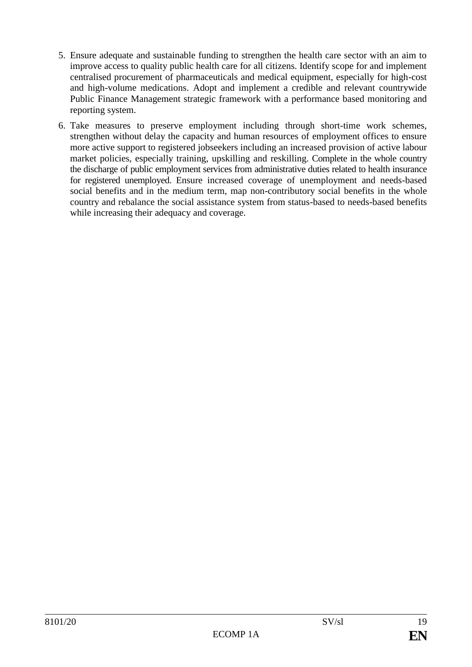- 5. Ensure adequate and sustainable funding to strengthen the health care sector with an aim to improve access to quality public health care for all citizens. Identify scope for and implement centralised procurement of pharmaceuticals and medical equipment, especially for high-cost and high-volume medications. Adopt and implement a credible and relevant countrywide Public Finance Management strategic framework with a performance based monitoring and reporting system.
- 6. Take measures to preserve employment including through short-time work schemes, strengthen without delay the capacity and human resources of employment offices to ensure more active support to registered jobseekers including an increased provision of active labour market policies, especially training, upskilling and reskilling. Complete in the whole country the discharge of public employment services from administrative duties related to health insurance for registered unemployed. Ensure increased coverage of unemployment and needs-based social benefits and in the medium term, map non-contributory social benefits in the whole country and rebalance the social assistance system from status-based to needs-based benefits while increasing their adequacy and coverage.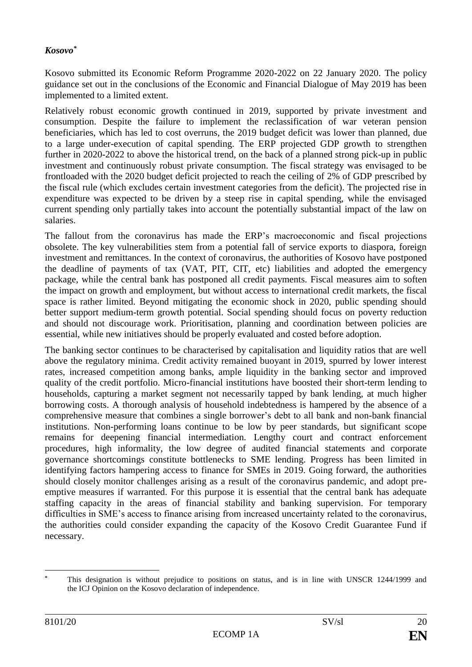#### *Kosovo\**

Kosovo submitted its Economic Reform Programme 2020-2022 on 22 January 2020. The policy guidance set out in the conclusions of the Economic and Financial Dialogue of May 2019 has been implemented to a limited extent.

Relatively robust economic growth continued in 2019, supported by private investment and consumption. Despite the failure to implement the reclassification of war veteran pension beneficiaries, which has led to cost overruns, the 2019 budget deficit was lower than planned, due to a large under-execution of capital spending. The ERP projected GDP growth to strengthen further in 2020-2022 to above the historical trend, on the back of a planned strong pick-up in public investment and continuously robust private consumption. The fiscal strategy was envisaged to be frontloaded with the 2020 budget deficit projected to reach the ceiling of 2% of GDP prescribed by the fiscal rule (which excludes certain investment categories from the deficit). The projected rise in expenditure was expected to be driven by a steep rise in capital spending, while the envisaged current spending only partially takes into account the potentially substantial impact of the law on salaries.

The fallout from the coronavirus has made the ERP's macroeconomic and fiscal projections obsolete. The key vulnerabilities stem from a potential fall of service exports to diaspora, foreign investment and remittances. In the context of coronavirus, the authorities of Kosovo have postponed the deadline of payments of tax (VAT, PIT, CIT, etc) liabilities and adopted the emergency package, while the central bank has postponed all credit payments. Fiscal measures aim to soften the impact on growth and employment, but without access to international credit markets, the fiscal space is rather limited. Beyond mitigating the economic shock in 2020, public spending should better support medium-term growth potential. Social spending should focus on poverty reduction and should not discourage work. Prioritisation, planning and coordination between policies are essential, while new initiatives should be properly evaluated and costed before adoption.

The banking sector continues to be characterised by capitalisation and liquidity ratios that are well above the regulatory minima. Credit activity remained buoyant in 2019, spurred by lower interest rates, increased competition among banks, ample liquidity in the banking sector and improved quality of the credit portfolio. Micro-financial institutions have boosted their short-term lending to households, capturing a market segment not necessarily tapped by bank lending, at much higher borrowing costs. A thorough analysis of household indebtedness is hampered by the absence of a comprehensive measure that combines a single borrower's debt to all bank and non-bank financial institutions. Non-performing loans continue to be low by peer standards, but significant scope remains for deepening financial intermediation. Lengthy court and contract enforcement procedures, high informality, the low degree of audited financial statements and corporate governance shortcomings constitute bottlenecks to SME lending. Progress has been limited in identifying factors hampering access to finance for SMEs in 2019. Going forward, the authorities should closely monitor challenges arising as a result of the coronavirus pandemic, and adopt preemptive measures if warranted. For this purpose it is essential that the central bank has adequate staffing capacity in the areas of financial stability and banking supervision. For temporary difficulties in SME's access to finance arising from increased uncertainty related to the coronavirus, the authorities could consider expanding the capacity of the Kosovo Credit Guarantee Fund if necessary.

<sup>1</sup> **\*** This designation is without prejudice to positions on status, and is in line with UNSCR 1244/1999 and the ICJ Opinion on the Kosovo declaration of independence.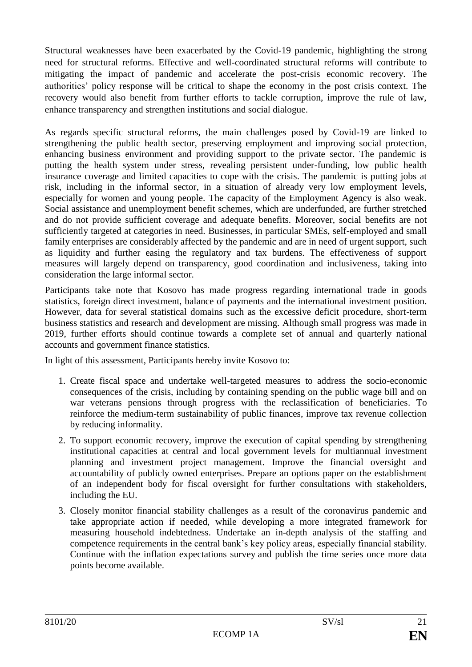Structural weaknesses have been exacerbated by the Covid-19 pandemic, highlighting the strong need for structural reforms. Effective and well-coordinated structural reforms will contribute to mitigating the impact of pandemic and accelerate the post-crisis economic recovery. The authorities' policy response will be critical to shape the economy in the post crisis context. The recovery would also benefit from further efforts to tackle corruption, improve the rule of law, enhance transparency and strengthen institutions and social dialogue.

As regards specific structural reforms, the main challenges posed by Covid-19 are linked to strengthening the public health sector, preserving employment and improving social protection, enhancing business environment and providing support to the private sector. The pandemic is putting the health system under stress, revealing persistent under-funding, low public health insurance coverage and limited capacities to cope with the crisis. The pandemic is putting jobs at risk, including in the informal sector, in a situation of already very low employment levels, especially for women and young people. The capacity of the Employment Agency is also weak. Social assistance and unemployment benefit schemes, which are underfunded, are further stretched and do not provide sufficient coverage and adequate benefits. Moreover, social benefits are not sufficiently targeted at categories in need. Businesses, in particular SMEs, self-employed and small family enterprises are considerably affected by the pandemic and are in need of urgent support, such as liquidity and further easing the regulatory and tax burdens. The effectiveness of support measures will largely depend on transparency, good coordination and inclusiveness, taking into consideration the large informal sector.

Participants take note that Kosovo has made progress regarding international trade in goods statistics, foreign direct investment, balance of payments and the international investment position. However, data for several statistical domains such as the excessive deficit procedure, short-term business statistics and research and development are missing. Although small progress was made in 2019, further efforts should continue towards a complete set of annual and quarterly national accounts and government finance statistics.

In light of this assessment, Participants hereby invite Kosovo to:

- 1. Create fiscal space and undertake well-targeted measures to address the socio-economic consequences of the crisis, including by containing spending on the public wage bill and on war veterans pensions through progress with the reclassification of beneficiaries. To reinforce the medium-term sustainability of public finances, improve tax revenue collection by reducing informality.
- 2. To support economic recovery, improve the execution of capital spending by strengthening institutional capacities at central and local government levels for multiannual investment planning and investment project management. Improve the financial oversight and accountability of publicly owned enterprises. Prepare an options paper on the establishment of an independent body for fiscal oversight for further consultations with stakeholders, including the EU.
- 3. Closely monitor financial stability challenges as a result of the coronavirus pandemic and take appropriate action if needed, while developing a more integrated framework for measuring household indebtedness. Undertake an in-depth analysis of the staffing and competence requirements in the central bank's key policy areas, especially financial stability. Continue with the inflation expectations survey and publish the time series once more data points become available.